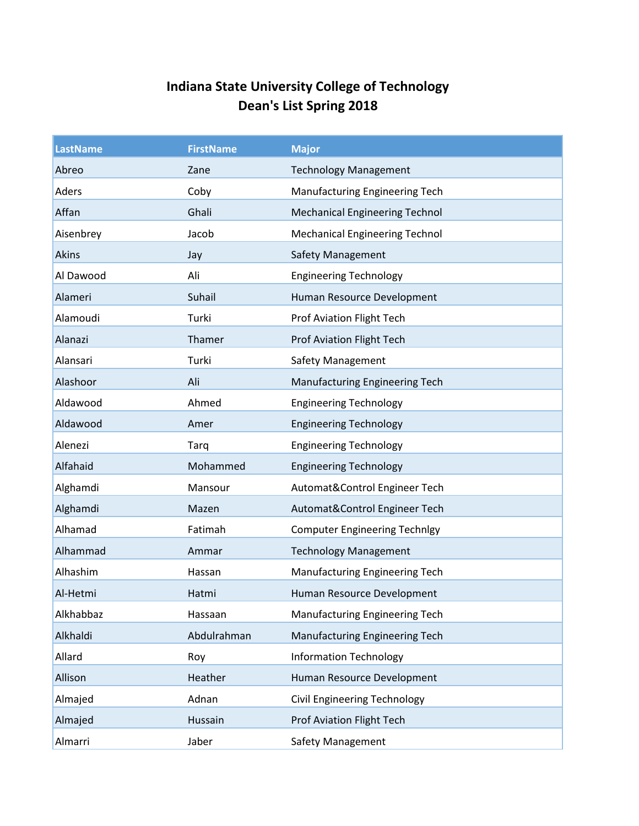## **Indiana State University College of Technology Dean's List Spring 2018**

| <b>LastName</b> | <b>FirstName</b> | <b>Major</b>                          |
|-----------------|------------------|---------------------------------------|
| Abreo           | Zane             | <b>Technology Management</b>          |
| Aders           | Coby             | Manufacturing Engineering Tech        |
| Affan           | Ghali            | <b>Mechanical Engineering Technol</b> |
| Aisenbrey       | Jacob            | <b>Mechanical Engineering Technol</b> |
| Akins           | Jay              | <b>Safety Management</b>              |
| Al Dawood       | Ali              | <b>Engineering Technology</b>         |
| Alameri         | Suhail           | Human Resource Development            |
| Alamoudi        | Turki            | Prof Aviation Flight Tech             |
| Alanazi         | Thamer           | <b>Prof Aviation Flight Tech</b>      |
| Alansari        | Turki            | <b>Safety Management</b>              |
| Alashoor        | Ali              | Manufacturing Engineering Tech        |
| Aldawood        | Ahmed            | <b>Engineering Technology</b>         |
| Aldawood        | Amer             | <b>Engineering Technology</b>         |
| Alenezi         | Tarq             | <b>Engineering Technology</b>         |
| Alfahaid        | Mohammed         | <b>Engineering Technology</b>         |
| Alghamdi        | Mansour          | Automat&Control Engineer Tech         |
| Alghamdi        | Mazen            | Automat&Control Engineer Tech         |
| Alhamad         | Fatimah          | <b>Computer Engineering Technlgy</b>  |
| Alhammad        | Ammar            | <b>Technology Management</b>          |
| Alhashim        | Hassan           | Manufacturing Engineering Tech        |
| Al-Hetmi        | Hatmi            | Human Resource Development            |
| Alkhabbaz       | Hassaan          | Manufacturing Engineering Tech        |
| Alkhaldi        | Abdulrahman      | Manufacturing Engineering Tech        |
| Allard          | Roy              | <b>Information Technology</b>         |
| Allison         | Heather          | Human Resource Development            |
| Almajed         | Adnan            | <b>Civil Engineering Technology</b>   |
| Almajed         | Hussain          | <b>Prof Aviation Flight Tech</b>      |
| Almarri         | Jaber            | Safety Management                     |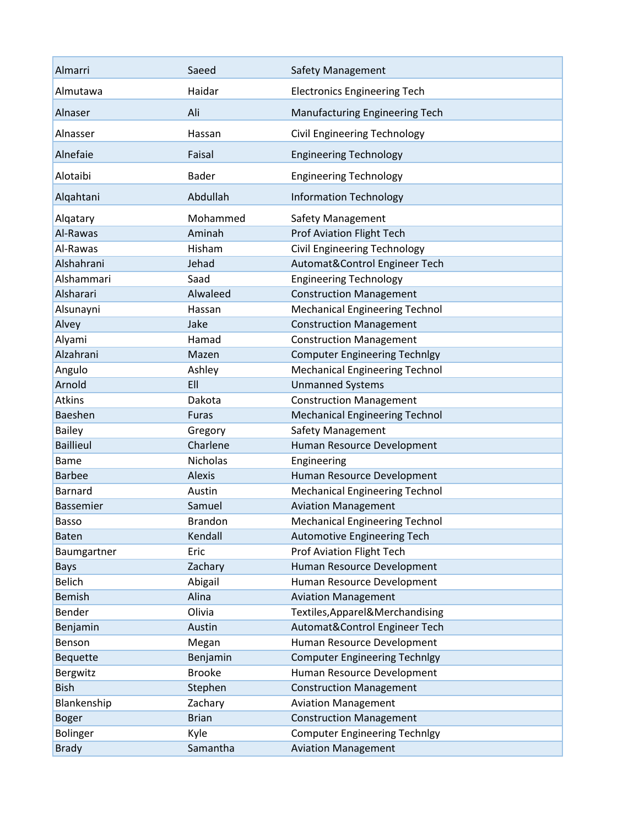| Almarri          | Saeed               | <b>Safety Management</b>              |
|------------------|---------------------|---------------------------------------|
| Almutawa         | Haidar              | <b>Electronics Engineering Tech</b>   |
| Alnaser          | Ali                 | <b>Manufacturing Engineering Tech</b> |
| Alnasser         | Hassan              | Civil Engineering Technology          |
| Alnefaie         | Faisal              | <b>Engineering Technology</b>         |
| Alotaibi         | <b>Bader</b>        | <b>Engineering Technology</b>         |
| Alqahtani        | Abdullah            | <b>Information Technology</b>         |
| Alqatary         | Mohammed            | Safety Management                     |
| Al-Rawas         | Aminah              | <b>Prof Aviation Flight Tech</b>      |
| Al-Rawas         | Hisham              | <b>Civil Engineering Technology</b>   |
| Alshahrani       | Jehad               | Automat&Control Engineer Tech         |
| Alshammari       | Saad                | <b>Engineering Technology</b>         |
| Alsharari        | Alwaleed            | <b>Construction Management</b>        |
| Alsunayni        | Hassan              | <b>Mechanical Engineering Technol</b> |
| Alvey            | Jake                | <b>Construction Management</b>        |
| Alyami           | Hamad               | <b>Construction Management</b>        |
| Alzahrani        | Mazen               | <b>Computer Engineering Technlgy</b>  |
| Angulo           | Ashley              | <b>Mechanical Engineering Technol</b> |
| Arnold           | EII                 | <b>Unmanned Systems</b>               |
| <b>Atkins</b>    | Dakota              | <b>Construction Management</b>        |
| Baeshen          | <b>Furas</b>        | <b>Mechanical Engineering Technol</b> |
| <b>Bailey</b>    |                     | <b>Safety Management</b>              |
| <b>Baillieul</b> | Gregory<br>Charlene |                                       |
|                  |                     | Human Resource Development            |
| <b>Bame</b>      | <b>Nicholas</b>     | Engineering                           |
| <b>Barbee</b>    | Alexis              | Human Resource Development            |
| Barnard          | Austin              | <b>Mechanical Engineering Technol</b> |
| Bassemier        | Samuel              | <b>Aviation Management</b>            |
| <b>Basso</b>     | <b>Brandon</b>      | <b>Mechanical Engineering Technol</b> |
| <b>Baten</b>     | Kendall             | Automotive Engineering Tech           |
| Baumgartner      | Eric                | <b>Prof Aviation Flight Tech</b>      |
| <b>Bays</b>      | Zachary             | Human Resource Development            |
| <b>Belich</b>    | Abigail             | Human Resource Development            |
| <b>Bemish</b>    | Alina               | <b>Aviation Management</b>            |
| Bender           | Olivia              | Textiles, Apparel & Merchandising     |
| Benjamin         | Austin              | Automat&Control Engineer Tech         |
| Benson           | Megan               | Human Resource Development            |
| Bequette         | Benjamin            | <b>Computer Engineering Technlgy</b>  |
| Bergwitz         | <b>Brooke</b>       | Human Resource Development            |
| <b>Bish</b>      | Stephen             | <b>Construction Management</b>        |
| Blankenship      | Zachary             | <b>Aviation Management</b>            |
| <b>Boger</b>     | <b>Brian</b>        | <b>Construction Management</b>        |
| Bolinger         | Kyle                | <b>Computer Engineering Technlgy</b>  |
| <b>Brady</b>     | Samantha            | <b>Aviation Management</b>            |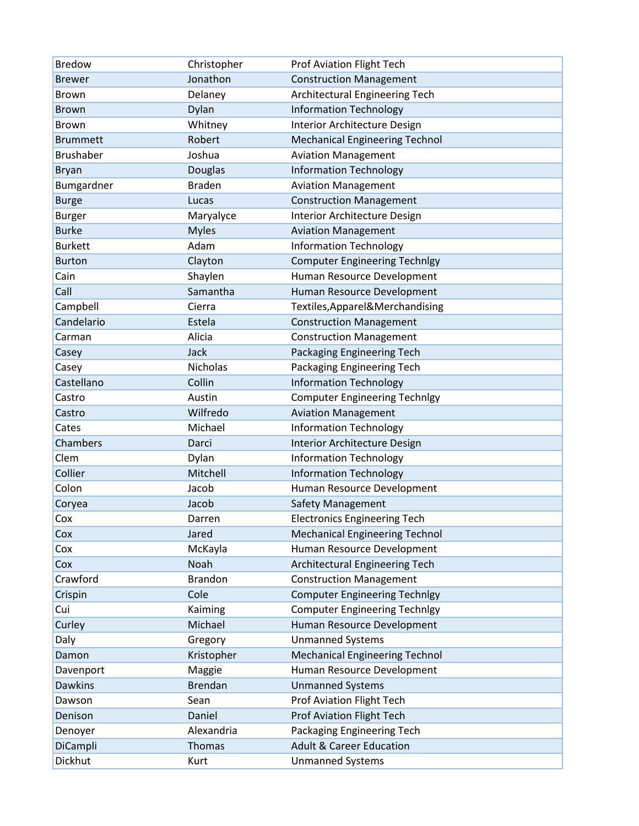| <b>Bredow</b>    | Christopher     | <b>Prof Aviation Flight Tech</b>      |
|------------------|-----------------|---------------------------------------|
| <b>Brewer</b>    | Jonathon        | <b>Construction Management</b>        |
| <b>Brown</b>     | Delaney         | Architectural Engineering Tech        |
| <b>Brown</b>     | Dylan           | <b>Information Technology</b>         |
| <b>Brown</b>     | Whitney         | Interior Architecture Design          |
| <b>Brummett</b>  | Robert          | <b>Mechanical Engineering Technol</b> |
| <b>Brushaber</b> | Joshua          | <b>Aviation Management</b>            |
| <b>Bryan</b>     | Douglas         | <b>Information Technology</b>         |
| Bumgardner       | <b>Braden</b>   | <b>Aviation Management</b>            |
| <b>Burge</b>     | Lucas           | <b>Construction Management</b>        |
| <b>Burger</b>    | Maryalyce       | Interior Architecture Design          |
| <b>Burke</b>     | <b>Myles</b>    | <b>Aviation Management</b>            |
| <b>Burkett</b>   | Adam            | <b>Information Technology</b>         |
| <b>Burton</b>    | Clayton         | <b>Computer Engineering Technlgy</b>  |
| Cain             | Shaylen         | Human Resource Development            |
| Call             | Samantha        | Human Resource Development            |
| Campbell         | Cierra          | Textiles, Apparel & Merchandising     |
| Candelario       | Estela          | <b>Construction Management</b>        |
| Carman           | Alicia          | <b>Construction Management</b>        |
| Casey            | Jack            | Packaging Engineering Tech            |
| Casey            | <b>Nicholas</b> | Packaging Engineering Tech            |
| Castellano       | Collin          | <b>Information Technology</b>         |
| Castro           | Austin          | <b>Computer Engineering Technlgy</b>  |
| Castro           | Wilfredo        | <b>Aviation Management</b>            |
| Cates            | Michael         | <b>Information Technology</b>         |
| Chambers         | Darci           | Interior Architecture Design          |
| Clem             | Dylan           | <b>Information Technology</b>         |
| Collier          | Mitchell        | <b>Information Technology</b>         |
| Colon            | Jacob           | Human Resource Development            |
| Coryea           | Jacob           | Safety Management                     |
| Cox              | Darren          | <b>Electronics Engineering Tech</b>   |
| Cox              | Jared           | <b>Mechanical Engineering Technol</b> |
| Cox              | McKayla         | Human Resource Development            |
| Cox              | Noah            | Architectural Engineering Tech        |
| Crawford         | <b>Brandon</b>  | <b>Construction Management</b>        |
| Crispin          | Cole            | <b>Computer Engineering Technlgy</b>  |
| Cui              | Kaiming         | <b>Computer Engineering Technlgy</b>  |
| Curley           | Michael         | Human Resource Development            |
| Daly             | Gregory         | <b>Unmanned Systems</b>               |
| Damon            | Kristopher      | <b>Mechanical Engineering Technol</b> |
| Davenport        | Maggie          | Human Resource Development            |
| <b>Dawkins</b>   | <b>Brendan</b>  | <b>Unmanned Systems</b>               |
| Dawson           | Sean            | Prof Aviation Flight Tech             |
| Denison          | Daniel          | <b>Prof Aviation Flight Tech</b>      |
| Denoyer          | Alexandria      | Packaging Engineering Tech            |
| DiCampli         | Thomas          | <b>Adult &amp; Career Education</b>   |
| Dickhut          | Kurt            | <b>Unmanned Systems</b>               |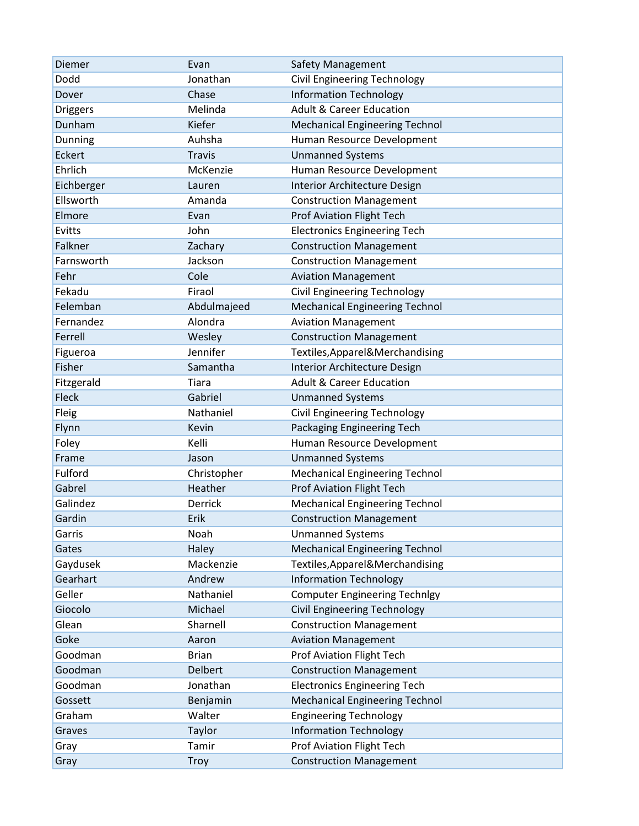| Diemer          | Evan           | Safety Management                     |
|-----------------|----------------|---------------------------------------|
| Dodd            | Jonathan       | Civil Engineering Technology          |
| Dover           | Chase          | <b>Information Technology</b>         |
| <b>Driggers</b> | Melinda        | <b>Adult &amp; Career Education</b>   |
| Dunham          | Kiefer         | <b>Mechanical Engineering Technol</b> |
| Dunning         | Auhsha         | Human Resource Development            |
| <b>Eckert</b>   | <b>Travis</b>  | <b>Unmanned Systems</b>               |
| Ehrlich         | McKenzie       | Human Resource Development            |
| Eichberger      | Lauren         | Interior Architecture Design          |
| Ellsworth       | Amanda         | <b>Construction Management</b>        |
| Elmore          | Evan           | <b>Prof Aviation Flight Tech</b>      |
| Evitts          | John           | <b>Electronics Engineering Tech</b>   |
| Falkner         | Zachary        | <b>Construction Management</b>        |
| Farnsworth      | Jackson        | <b>Construction Management</b>        |
| Fehr            | Cole           | <b>Aviation Management</b>            |
| Fekadu          | Firaol         | <b>Civil Engineering Technology</b>   |
| Felemban        | Abdulmajeed    | <b>Mechanical Engineering Technol</b> |
| Fernandez       | Alondra        | <b>Aviation Management</b>            |
| Ferrell         | Wesley         | <b>Construction Management</b>        |
| Figueroa        | Jennifer       | Textiles, Apparel & Merchandising     |
| Fisher          | Samantha       | Interior Architecture Design          |
| Fitzgerald      | Tiara          | <b>Adult &amp; Career Education</b>   |
| Fleck           | Gabriel        | <b>Unmanned Systems</b>               |
| Fleig           | Nathaniel      | Civil Engineering Technology          |
| Flynn           | Kevin          | Packaging Engineering Tech            |
| Foley           | Kelli          | Human Resource Development            |
| Frame           | Jason          | <b>Unmanned Systems</b>               |
| Fulford         | Christopher    | <b>Mechanical Engineering Technol</b> |
| Gabrel          | Heather        | <b>Prof Aviation Flight Tech</b>      |
| Galindez        | Derrick        | <b>Mechanical Engineering Technol</b> |
| Gardin          | Erik           | <b>Construction Management</b>        |
| Garris          | Noah           | <b>Unmanned Systems</b>               |
| Gates           | Haley          | <b>Mechanical Engineering Technol</b> |
| Gaydusek        | Mackenzie      | Textiles, Apparel & Merchandising     |
| Gearhart        | Andrew         | <b>Information Technology</b>         |
| Geller          | Nathaniel      | <b>Computer Engineering Technlgy</b>  |
| Giocolo         | Michael        | <b>Civil Engineering Technology</b>   |
| Glean           | Sharnell       | <b>Construction Management</b>        |
| Goke            | Aaron          | <b>Aviation Management</b>            |
| Goodman         | <b>Brian</b>   | Prof Aviation Flight Tech             |
| Goodman         | <b>Delbert</b> | <b>Construction Management</b>        |
| Goodman         | Jonathan       | <b>Electronics Engineering Tech</b>   |
| Gossett         | Benjamin       | <b>Mechanical Engineering Technol</b> |
| Graham          | Walter         | <b>Engineering Technology</b>         |
| Graves          | Taylor         | <b>Information Technology</b>         |
| Gray            | Tamir          | Prof Aviation Flight Tech             |
| Gray            | <b>Troy</b>    | <b>Construction Management</b>        |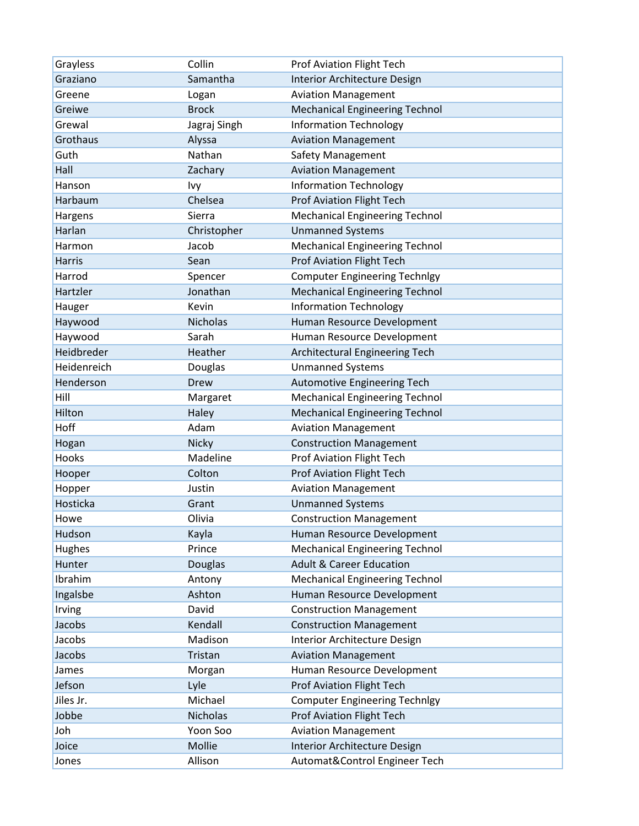| Grayless      | Collin          | Prof Aviation Flight Tech             |
|---------------|-----------------|---------------------------------------|
| Graziano      | Samantha        | Interior Architecture Design          |
| Greene        | Logan           | <b>Aviation Management</b>            |
| Greiwe        | <b>Brock</b>    | <b>Mechanical Engineering Technol</b> |
| Grewal        | Jagraj Singh    | <b>Information Technology</b>         |
| Grothaus      | Alyssa          | <b>Aviation Management</b>            |
| Guth          | Nathan          | <b>Safety Management</b>              |
| Hall          | Zachary         | <b>Aviation Management</b>            |
| Hanson        | Ivy             | <b>Information Technology</b>         |
| Harbaum       | Chelsea         | <b>Prof Aviation Flight Tech</b>      |
| Hargens       | Sierra          | <b>Mechanical Engineering Technol</b> |
| Harlan        | Christopher     | <b>Unmanned Systems</b>               |
| Harmon        | Jacob           | <b>Mechanical Engineering Technol</b> |
| <b>Harris</b> | Sean            | <b>Prof Aviation Flight Tech</b>      |
| Harrod        | Spencer         | <b>Computer Engineering Technlgy</b>  |
| Hartzler      | Jonathan        | <b>Mechanical Engineering Technol</b> |
| Hauger        | Kevin           | <b>Information Technology</b>         |
| Haywood       | <b>Nicholas</b> | Human Resource Development            |
| Haywood       | Sarah           | Human Resource Development            |
| Heidbreder    | Heather         | Architectural Engineering Tech        |
| Heidenreich   | Douglas         | <b>Unmanned Systems</b>               |
| Henderson     | <b>Drew</b>     | Automotive Engineering Tech           |
| Hill          | Margaret        | <b>Mechanical Engineering Technol</b> |
| Hilton        | Haley           | <b>Mechanical Engineering Technol</b> |
| Hoff          | Adam            | <b>Aviation Management</b>            |
| Hogan         | Nicky           | <b>Construction Management</b>        |
| Hooks         | Madeline        | Prof Aviation Flight Tech             |
| Hooper        | Colton          | <b>Prof Aviation Flight Tech</b>      |
| Hopper        | Justin          | <b>Aviation Management</b>            |
| Hosticka      | Grant           | <b>Unmanned Systems</b>               |
| Howe          | Olivia          | <b>Construction Management</b>        |
| Hudson        | Kayla           | Human Resource Development            |
| Hughes        | Prince          | <b>Mechanical Engineering Technol</b> |
| Hunter        | Douglas         | <b>Adult &amp; Career Education</b>   |
| Ibrahim       | Antony          | <b>Mechanical Engineering Technol</b> |
| Ingalsbe      | Ashton          | Human Resource Development            |
| Irving        | David           | <b>Construction Management</b>        |
| Jacobs        | Kendall         | <b>Construction Management</b>        |
| Jacobs        | Madison         | Interior Architecture Design          |
| Jacobs        | Tristan         | <b>Aviation Management</b>            |
| James         | Morgan          | Human Resource Development            |
| Jefson        | Lyle            | <b>Prof Aviation Flight Tech</b>      |
| Jiles Jr.     | Michael         | <b>Computer Engineering Technlgy</b>  |
| Jobbe         | Nicholas        | <b>Prof Aviation Flight Tech</b>      |
| Joh           | Yoon Soo        | <b>Aviation Management</b>            |
| Joice         | Mollie          | <b>Interior Architecture Design</b>   |
| Jones         | Allison         | Automat&Control Engineer Tech         |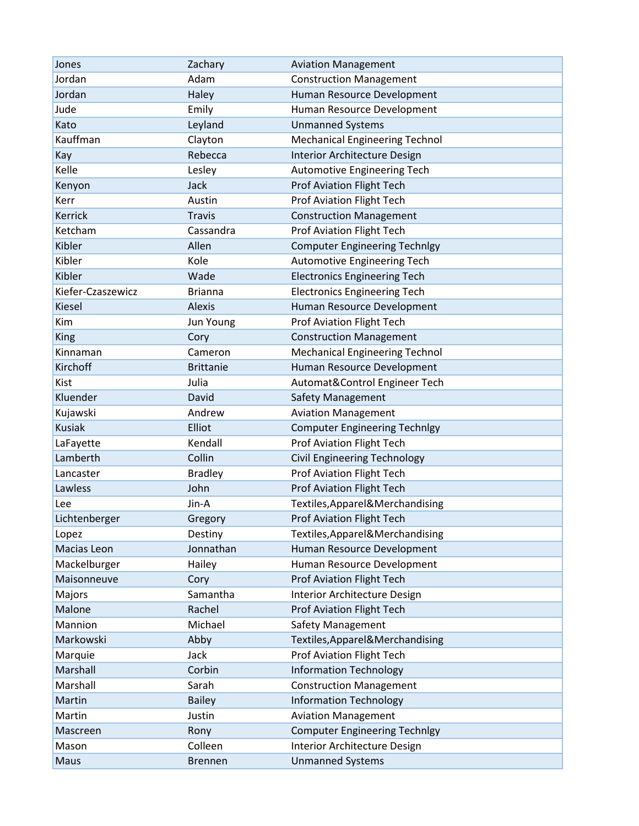| Jones             | Zachary          | <b>Aviation Management</b>            |
|-------------------|------------------|---------------------------------------|
| Jordan            | Adam             | <b>Construction Management</b>        |
| Jordan            | Haley            | Human Resource Development            |
| Jude              | Emily            | Human Resource Development            |
| Kato              | Leyland          | <b>Unmanned Systems</b>               |
| Kauffman          | Clayton          | <b>Mechanical Engineering Technol</b> |
| Kay               | Rebecca          | Interior Architecture Design          |
| Kelle             | Lesley           | Automotive Engineering Tech           |
| Kenyon            | Jack             | <b>Prof Aviation Flight Tech</b>      |
| Kerr              | Austin           | <b>Prof Aviation Flight Tech</b>      |
| Kerrick           | <b>Travis</b>    | <b>Construction Management</b>        |
| Ketcham           | Cassandra        | <b>Prof Aviation Flight Tech</b>      |
| Kibler            | Allen            | <b>Computer Engineering Technlgy</b>  |
| Kibler            | Kole             | <b>Automotive Engineering Tech</b>    |
| Kibler            | Wade             | <b>Electronics Engineering Tech</b>   |
| Kiefer-Czaszewicz | <b>Brianna</b>   | <b>Electronics Engineering Tech</b>   |
| <b>Kiesel</b>     | Alexis           | Human Resource Development            |
| Kim               | Jun Young        | <b>Prof Aviation Flight Tech</b>      |
| King              | Cory             | <b>Construction Management</b>        |
| Kinnaman          | Cameron          | <b>Mechanical Engineering Technol</b> |
| Kirchoff          | <b>Brittanie</b> | Human Resource Development            |
| Kist              | Julia            | Automat&Control Engineer Tech         |
| Kluender          | David            | <b>Safety Management</b>              |
| Kujawski          | Andrew           | <b>Aviation Management</b>            |
| <b>Kusiak</b>     | Elliot           | <b>Computer Engineering Technlgy</b>  |
| LaFayette         | Kendall          | Prof Aviation Flight Tech             |
| Lamberth          | Collin           | <b>Civil Engineering Technology</b>   |
| Lancaster         | <b>Bradley</b>   | <b>Prof Aviation Flight Tech</b>      |
| Lawless           | John             | <b>Prof Aviation Flight Tech</b>      |
| Lee               | Jin-A            | Textiles, Apparel & Merchandising     |
| Lichtenberger     | Gregory          | <b>Prof Aviation Flight Tech</b>      |
| Lopez             | Destiny          | Textiles, Apparel & Merchandising     |
| Macias Leon       | Jonnathan        | Human Resource Development            |
| Mackelburger      | Hailey           | Human Resource Development            |
| Maisonneuve       | Cory             | <b>Prof Aviation Flight Tech</b>      |
| Majors            | Samantha         | Interior Architecture Design          |
| Malone            | Rachel           | <b>Prof Aviation Flight Tech</b>      |
| Mannion           | Michael          | <b>Safety Management</b>              |
| Markowski         | Abby             | Textiles, Apparel & Merchandising     |
| Marquie           | Jack             | <b>Prof Aviation Flight Tech</b>      |
| Marshall          | Corbin           | <b>Information Technology</b>         |
| Marshall          | Sarah            | <b>Construction Management</b>        |
| Martin            | <b>Bailey</b>    | <b>Information Technology</b>         |
| Martin            | Justin           | <b>Aviation Management</b>            |
| Mascreen          | Rony             | <b>Computer Engineering Technlgy</b>  |
| Mason             | Colleen          | Interior Architecture Design          |
| Maus              | <b>Brennen</b>   | <b>Unmanned Systems</b>               |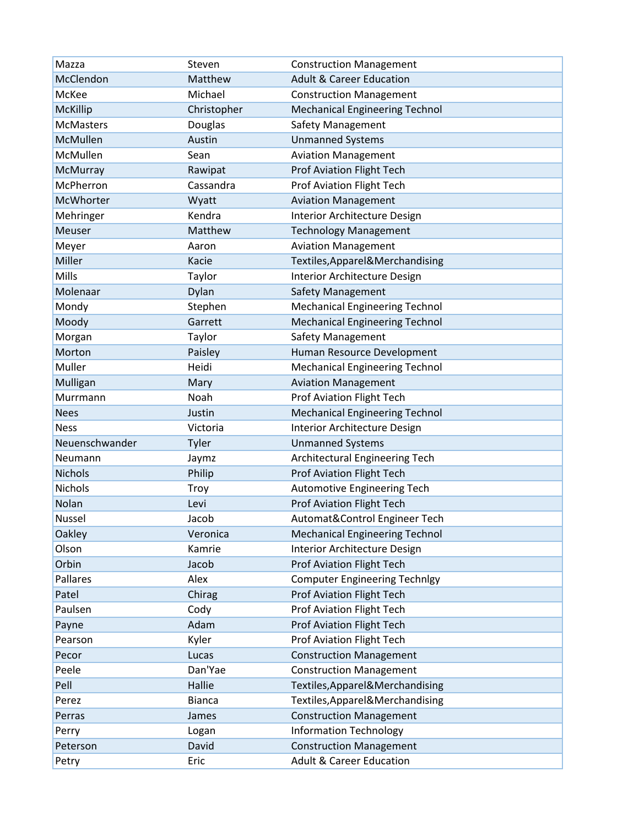| Mazza            | Steven        | <b>Construction Management</b>        |
|------------------|---------------|---------------------------------------|
| McClendon        | Matthew       | <b>Adult &amp; Career Education</b>   |
| McKee            | Michael       | <b>Construction Management</b>        |
| McKillip         | Christopher   | <b>Mechanical Engineering Technol</b> |
| <b>McMasters</b> | Douglas       | <b>Safety Management</b>              |
| McMullen         | Austin        | <b>Unmanned Systems</b>               |
| McMullen         | Sean          | <b>Aviation Management</b>            |
| McMurray         | Rawipat       | <b>Prof Aviation Flight Tech</b>      |
| McPherron        | Cassandra     | <b>Prof Aviation Flight Tech</b>      |
| McWhorter        | Wyatt         | <b>Aviation Management</b>            |
| Mehringer        | Kendra        | Interior Architecture Design          |
| Meuser           | Matthew       | <b>Technology Management</b>          |
| Meyer            | Aaron         | <b>Aviation Management</b>            |
| Miller           | Kacie         | Textiles, Apparel & Merchandising     |
| Mills            | Taylor        | Interior Architecture Design          |
| Molenaar         | Dylan         | <b>Safety Management</b>              |
| Mondy            | Stephen       | <b>Mechanical Engineering Technol</b> |
| Moody            | Garrett       | <b>Mechanical Engineering Technol</b> |
| Morgan           | Taylor        | <b>Safety Management</b>              |
| Morton           | Paisley       | Human Resource Development            |
| Muller           | Heidi         | <b>Mechanical Engineering Technol</b> |
| Mulligan         | Mary          | <b>Aviation Management</b>            |
| Murrmann         | Noah          | <b>Prof Aviation Flight Tech</b>      |
| <b>Nees</b>      | Justin        | <b>Mechanical Engineering Technol</b> |
| <b>Ness</b>      | Victoria      | Interior Architecture Design          |
| Neuenschwander   | Tyler         | <b>Unmanned Systems</b>               |
| Neumann          | Jaymz         | Architectural Engineering Tech        |
| <b>Nichols</b>   | Philip        | <b>Prof Aviation Flight Tech</b>      |
| Nichols          | Troy          | Automotive Engineering Tech           |
| Nolan            | Levi          | <b>Prof Aviation Flight Tech</b>      |
| Nussel           | Jacob         | Automat&Control Engineer Tech         |
| Oakley           | Veronica      | <b>Mechanical Engineering Technol</b> |
| Olson            | Kamrie        | Interior Architecture Design          |
| Orbin            | Jacob         | Prof Aviation Flight Tech             |
| Pallares         | Alex          | <b>Computer Engineering Technlgy</b>  |
| Patel            | Chirag        | <b>Prof Aviation Flight Tech</b>      |
| Paulsen          | Cody          | <b>Prof Aviation Flight Tech</b>      |
| Payne            | Adam          | <b>Prof Aviation Flight Tech</b>      |
| Pearson          | Kyler         | <b>Prof Aviation Flight Tech</b>      |
| Pecor            | Lucas         | <b>Construction Management</b>        |
| Peele            | Dan'Yae       | <b>Construction Management</b>        |
| Pell             | Hallie        | Textiles, Apparel & Merchandising     |
| Perez            | <b>Bianca</b> | Textiles, Apparel & Merchandising     |
| Perras           | James         | <b>Construction Management</b>        |
| Perry            | Logan         | <b>Information Technology</b>         |
| Peterson         | David         | <b>Construction Management</b>        |
| Petry            | Eric          | <b>Adult &amp; Career Education</b>   |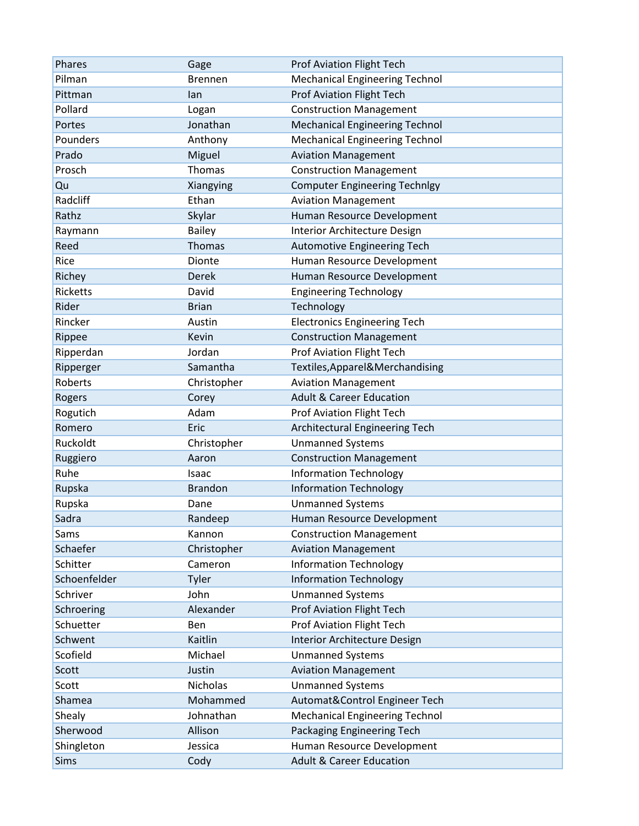| Phares       | Gage           | <b>Prof Aviation Flight Tech</b>      |
|--------------|----------------|---------------------------------------|
| Pilman       | <b>Brennen</b> | <b>Mechanical Engineering Technol</b> |
| Pittman      | lan            | <b>Prof Aviation Flight Tech</b>      |
| Pollard      | Logan          | <b>Construction Management</b>        |
| Portes       | Jonathan       | <b>Mechanical Engineering Technol</b> |
| Pounders     | Anthony        | <b>Mechanical Engineering Technol</b> |
| Prado        | Miguel         | <b>Aviation Management</b>            |
| Prosch       | Thomas         | <b>Construction Management</b>        |
| Qu           | Xiangying      | <b>Computer Engineering Technlgy</b>  |
| Radcliff     | Ethan          | <b>Aviation Management</b>            |
| Rathz        | Skylar         | Human Resource Development            |
| Raymann      | <b>Bailey</b>  | Interior Architecture Design          |
| Reed         | <b>Thomas</b>  | Automotive Engineering Tech           |
| Rice         | Dionte         | Human Resource Development            |
| Richey       | <b>Derek</b>   | Human Resource Development            |
| Ricketts     | David          | <b>Engineering Technology</b>         |
| Rider        | <b>Brian</b>   | Technology                            |
| Rincker      | Austin         | <b>Electronics Engineering Tech</b>   |
| Rippee       | Kevin          | <b>Construction Management</b>        |
| Ripperdan    | Jordan         | <b>Prof Aviation Flight Tech</b>      |
| Ripperger    | Samantha       | Textiles, Apparel & Merchandising     |
| Roberts      | Christopher    | <b>Aviation Management</b>            |
| Rogers       | Corey          | <b>Adult &amp; Career Education</b>   |
| Rogutich     | Adam           | <b>Prof Aviation Flight Tech</b>      |
| Romero       | Eric           | Architectural Engineering Tech        |
| Ruckoldt     | Christopher    | <b>Unmanned Systems</b>               |
| Ruggiero     | Aaron          | <b>Construction Management</b>        |
| Ruhe         | Isaac          | <b>Information Technology</b>         |
| Rupska       | <b>Brandon</b> | <b>Information Technology</b>         |
| Rupska       | Dane           | <b>Unmanned Systems</b>               |
| Sadra        | Randeep        | Human Resource Development            |
| Sams         | Kannon         | <b>Construction Management</b>        |
| Schaefer     | Christopher    | <b>Aviation Management</b>            |
| Schitter     | Cameron        | <b>Information Technology</b>         |
| Schoenfelder | Tyler          | <b>Information Technology</b>         |
| Schriver     | John           | <b>Unmanned Systems</b>               |
| Schroering   | Alexander      | <b>Prof Aviation Flight Tech</b>      |
| Schuetter    | Ben            | <b>Prof Aviation Flight Tech</b>      |
| Schwent      | Kaitlin        | Interior Architecture Design          |
| Scofield     | Michael        | <b>Unmanned Systems</b>               |
| Scott        | Justin         | <b>Aviation Management</b>            |
| Scott        | Nicholas       | <b>Unmanned Systems</b>               |
| Shamea       | Mohammed       | Automat&Control Engineer Tech         |
| Shealy       | Johnathan      | <b>Mechanical Engineering Technol</b> |
| Sherwood     | Allison        | Packaging Engineering Tech            |
| Shingleton   | Jessica        | Human Resource Development            |
| <b>Sims</b>  | Cody           | <b>Adult &amp; Career Education</b>   |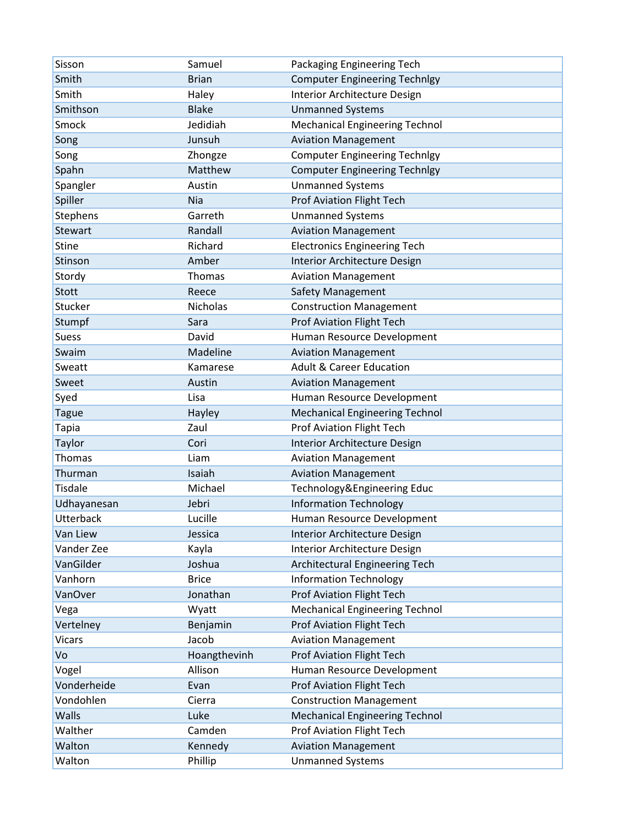| Sisson           | Samuel          | Packaging Engineering Tech            |
|------------------|-----------------|---------------------------------------|
| Smith            | <b>Brian</b>    | <b>Computer Engineering Technlgy</b>  |
| Smith            | Haley           | Interior Architecture Design          |
| Smithson         | <b>Blake</b>    | <b>Unmanned Systems</b>               |
| Smock            | Jedidiah        | <b>Mechanical Engineering Technol</b> |
| Song             | Junsuh          | <b>Aviation Management</b>            |
| Song             | Zhongze         | <b>Computer Engineering Technlgy</b>  |
| Spahn            | Matthew         | <b>Computer Engineering Technlgy</b>  |
| Spangler         | Austin          | <b>Unmanned Systems</b>               |
| Spiller          | Nia             | <b>Prof Aviation Flight Tech</b>      |
| Stephens         | Garreth         | <b>Unmanned Systems</b>               |
| <b>Stewart</b>   | Randall         | <b>Aviation Management</b>            |
| <b>Stine</b>     | Richard         | <b>Electronics Engineering Tech</b>   |
| Stinson          | Amber           | Interior Architecture Design          |
| Stordy           | Thomas          | <b>Aviation Management</b>            |
| Stott            | Reece           | <b>Safety Management</b>              |
| Stucker          | <b>Nicholas</b> | <b>Construction Management</b>        |
| Stumpf           | Sara            | <b>Prof Aviation Flight Tech</b>      |
| <b>Suess</b>     | David           | Human Resource Development            |
| Swaim            | Madeline        | <b>Aviation Management</b>            |
| Sweatt           | Kamarese        | <b>Adult &amp; Career Education</b>   |
| Sweet            | Austin          | <b>Aviation Management</b>            |
| Syed             | Lisa            | Human Resource Development            |
| <b>Tague</b>     | Hayley          | <b>Mechanical Engineering Technol</b> |
| <b>Tapia</b>     | Zaul            | Prof Aviation Flight Tech             |
| Taylor           | Cori            | Interior Architecture Design          |
| Thomas           | Liam            | <b>Aviation Management</b>            |
| Thurman          | Isaiah          | <b>Aviation Management</b>            |
| <b>Tisdale</b>   | Michael         | Technology&Engineering Educ           |
| Udhayanesan      | Jebri           | <b>Information Technology</b>         |
| <b>Utterback</b> | Lucille         | Human Resource Development            |
| Van Liew         | Jessica         | Interior Architecture Design          |
| Vander Zee       | Kayla           | Interior Architecture Design          |
| VanGilder        | Joshua          | Architectural Engineering Tech        |
| Vanhorn          | <b>Brice</b>    | <b>Information Technology</b>         |
| VanOver          | Jonathan        | <b>Prof Aviation Flight Tech</b>      |
| Vega             | Wyatt           | <b>Mechanical Engineering Technol</b> |
| Vertelney        | Benjamin        | <b>Prof Aviation Flight Tech</b>      |
| <b>Vicars</b>    | Jacob           | <b>Aviation Management</b>            |
| Vo               | Hoangthevinh    | <b>Prof Aviation Flight Tech</b>      |
| Vogel            | Allison         | Human Resource Development            |
| Vonderheide      | Evan            | <b>Prof Aviation Flight Tech</b>      |
| Vondohlen        | Cierra          | <b>Construction Management</b>        |
| Walls            | Luke            | <b>Mechanical Engineering Technol</b> |
| Walther          | Camden          | <b>Prof Aviation Flight Tech</b>      |
| Walton           | Kennedy         | <b>Aviation Management</b>            |
| Walton           | Phillip         | <b>Unmanned Systems</b>               |